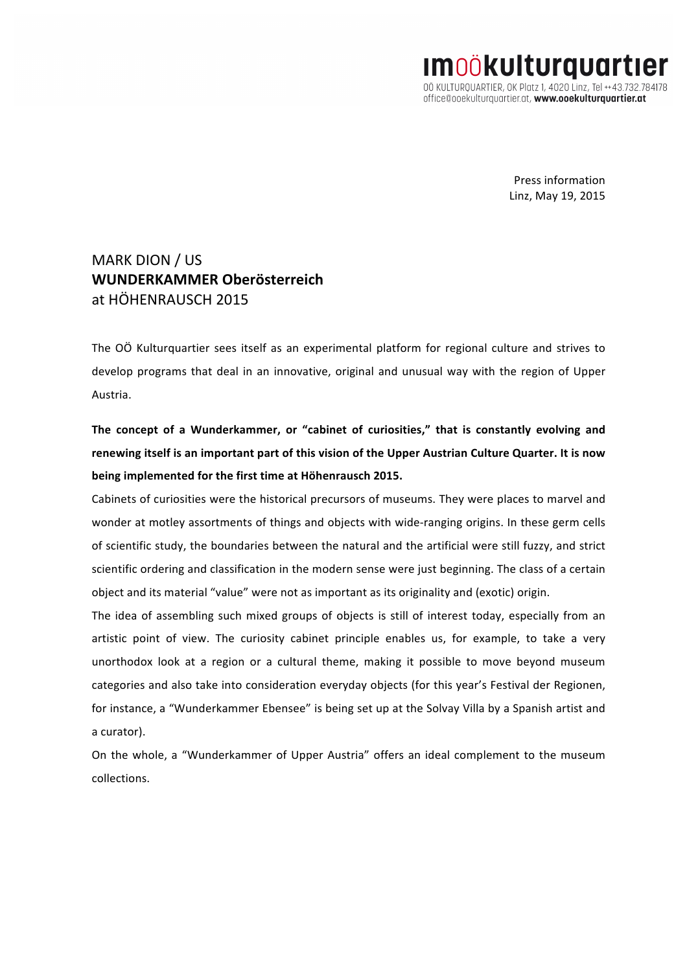**IMOÖKUlturquartier** 00 KULTUROUARTIER, OK Platz 1, 4020 Linz, Tel ++43.732.784178 office@ooekulturguartier.at, www.ooekulturguartier.at

> Press information Linz, May 19, 2015

# MARK DION / US **WUNDERKAMMER Oberösterreich** at HÖHENRAUSCH 2015

The OÖ Kulturquartier sees itself as an experimental platform for regional culture and strives to develop programs that deal in an innovative, original and unusual way with the region of Upper Austria. 

The concept of a Wunderkammer, or "cabinet of curiosities," that is constantly evolving and renewing itself is an important part of this vision of the Upper Austrian Culture Quarter. It is now being implemented for the first time at Höhenrausch 2015.

Cabinets of curiosities were the historical precursors of museums. They were places to marvel and wonder at motley assortments of things and objects with wide-ranging origins. In these germ cells of scientific study, the boundaries between the natural and the artificial were still fuzzy, and strict scientific ordering and classification in the modern sense were just beginning. The class of a certain object and its material "value" were not as important as its originality and (exotic) origin.

The idea of assembling such mixed groups of objects is still of interest today, especially from an artistic point of view. The curiosity cabinet principle enables us, for example, to take a very unorthodox look at a region or a cultural theme, making it possible to move beyond museum categories and also take into consideration everyday objects (for this year's Festival der Regionen, for instance, a "Wunderkammer Ebensee" is being set up at the Solvay Villa by a Spanish artist and a curator).

On the whole, a "Wunderkammer of Upper Austria" offers an ideal complement to the museum collections.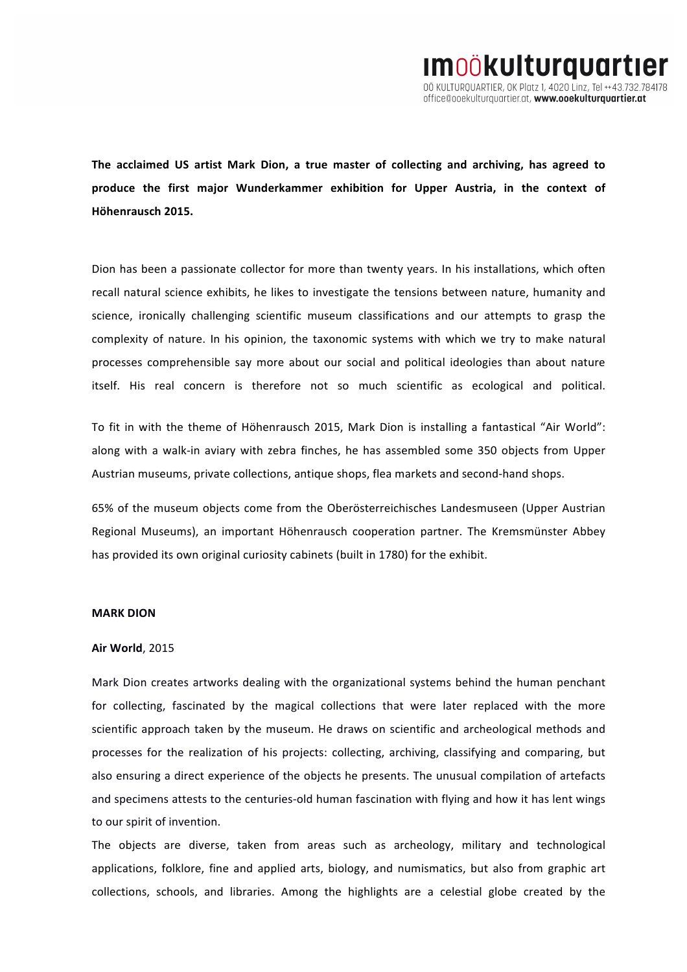The acclaimed US artist Mark Dion, a true master of collecting and archiving, has agreed to produce the first major Wunderkammer exhibition for Upper Austria, in the context of **Höhenrausch 2015.**

Dion has been a passionate collector for more than twenty years. In his installations, which often recall natural science exhibits, he likes to investigate the tensions between nature, humanity and science, ironically challenging scientific museum classifications and our attempts to grasp the complexity of nature. In his opinion, the taxonomic systems with which we try to make natural processes comprehensible say more about our social and political ideologies than about nature itself. His real concern is therefore not so much scientific as ecological and political.

To fit in with the theme of Höhenrausch 2015, Mark Dion is installing a fantastical "Air World": along with a walk-in aviary with zebra finches, he has assembled some 350 objects from Upper Austrian museums, private collections, antique shops, flea markets and second-hand shops.

65% of the museum objects come from the Oberösterreichisches Landesmuseen (Upper Austrian Regional Museums), an important Höhenrausch cooperation partner. The Kremsmünster Abbey has provided its own original curiosity cabinets (built in 1780) for the exhibit.

#### **MARK DION**

#### **Air World**, 2015

Mark Dion creates artworks dealing with the organizational systems behind the human penchant for collecting, fascinated by the magical collections that were later replaced with the more scientific approach taken by the museum. He draws on scientific and archeological methods and processes for the realization of his projects: collecting, archiving, classifying and comparing, but also ensuring a direct experience of the objects he presents. The unusual compilation of artefacts and specimens attests to the centuries-old human fascination with flying and how it has lent wings to our spirit of invention.

The objects are diverse, taken from areas such as archeology, military and technological applications, folklore, fine and applied arts, biology, and numismatics, but also from graphic art collections, schools, and libraries. Among the highlights are a celestial globe created by the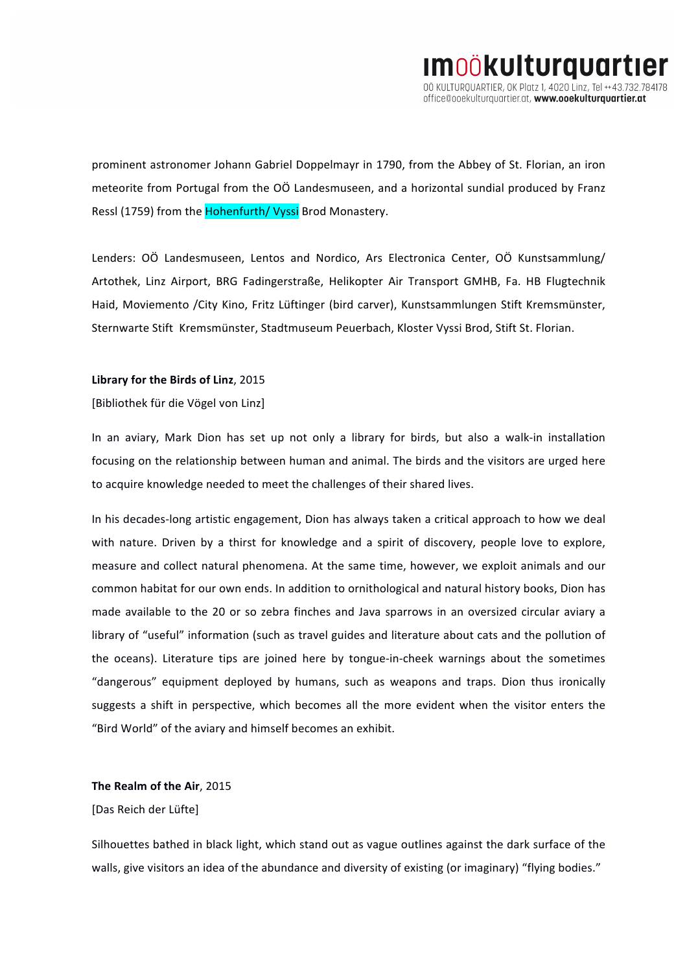prominent astronomer Johann Gabriel Doppelmayr in 1790, from the Abbey of St. Florian, an iron meteorite from Portugal from the OÖ Landesmuseen, and a horizontal sundial produced by Franz Ressl (1759) from the Hohenfurth/ Vyssi Brod Monastery.

Lenders: OÖ Landesmuseen, Lentos and Nordico, Ars Electronica Center, OÖ Kunstsammlung/ Artothek, Linz Airport, BRG Fadingerstraße, Helikopter Air Transport GMHB, Fa. HB Flugtechnik Haid, Moviemento /City Kino, Fritz Lüftinger (bird carver), Kunstsammlungen Stift Kremsmünster, Sternwarte Stift Kremsmünster, Stadtmuseum Peuerbach, Kloster Vyssi Brod, Stift St. Florian.

## Library for the Birds of Linz, 2015

[Bibliothek für die Vögel von Linz]

In an aviary, Mark Dion has set up not only a library for birds, but also a walk-in installation focusing on the relationship between human and animal. The birds and the visitors are urged here to acquire knowledge needed to meet the challenges of their shared lives.

In his decades-long artistic engagement, Dion has always taken a critical approach to how we deal with nature. Driven by a thirst for knowledge and a spirit of discovery, people love to explore, measure and collect natural phenomena. At the same time, however, we exploit animals and our common habitat for our own ends. In addition to ornithological and natural history books, Dion has made available to the 20 or so zebra finches and Java sparrows in an oversized circular aviary a library of "useful" information (such as travel guides and literature about cats and the pollution of the oceans). Literature tips are joined here by tongue-in-cheek warnings about the sometimes "dangerous" equipment deployed by humans, such as weapons and traps. Dion thus ironically suggests a shift in perspective, which becomes all the more evident when the visitor enters the "Bird World" of the aviary and himself becomes an exhibit.

## The Realm of the Air, 2015

### [Das Reich der Lüfte]

Silhouettes bathed in black light, which stand out as vague outlines against the dark surface of the walls, give visitors an idea of the abundance and diversity of existing (or imaginary) "flying bodies."